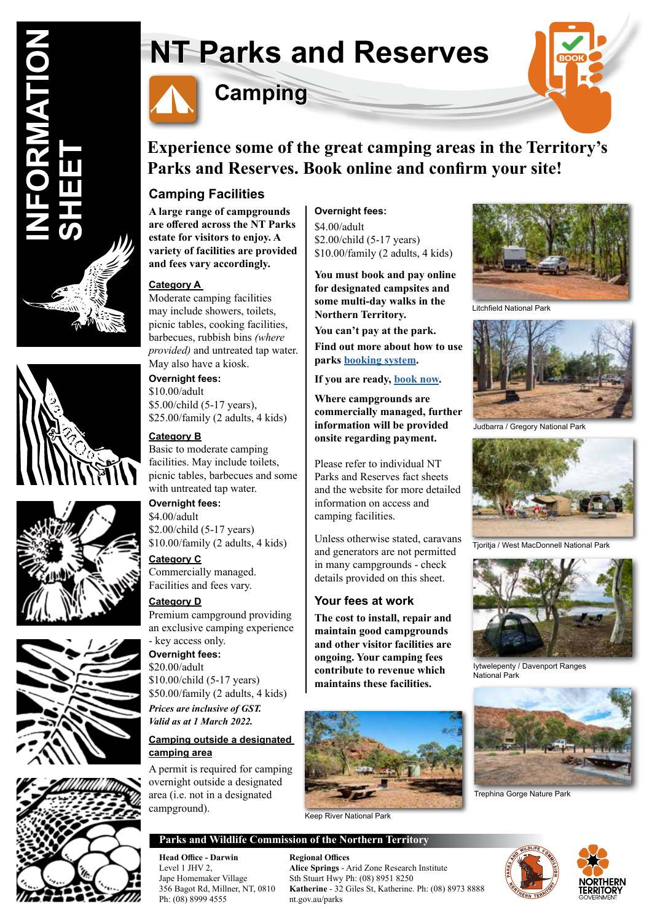







# **NT Parks and Reserves**



## **Camping**



### **Experience some of the great camping areas in the Territory's Parks and Reserves. Book online and confirm your site!**

### **Camping Facilities**

**A large range of campgrounds are offered across the NT Parks estate for visitors to enjoy. A variety of facilities are provided and fees vary accordingly.**

#### **Category A**

Moderate camping facilities may include showers, toilets, picnic tables, cooking facilities, barbecues, rubbish bins *(where provided)* and untreated tap water. May also have a kiosk.

#### **Overnight fees:**

\$10.00/adult \$5.00/child (5-17 years), \$25.00/family (2 adults, 4 kids)

#### **Category B**

Basic to moderate camping facilities. May include toilets, picnic tables, barbecues and some with untreated tap water.

#### **Overnight fees:**

\$4.00/adult \$2.00/child (5-17 years) \$10.00/family (2 adults, 4 kids)

#### **Category C** Commercially managed. Facilities and fees vary.

#### **Category D**

Premium campground providing an exclusive camping experience - key access only. **Overnight fees:**

\$20.00/adult \$10.00/child (5-17 years) \$50.00/family (2 adults, 4 kids) *Prices are inclusive of GST. Valid as at 1 March 2022.* 

#### **Camping outside a designated camping area**

A permit is required for camping overnight outside a designated area (i.e. not in a designated campground).

#### **Overnight fees:**

\$4.00/adult \$2.00/child (5-17 years) \$10.00/family (2 adults, 4 kids)

**You must book and pay online for designated campsites and some multi-day walks in the Northern Territory.** 

**You can't pay at the park.**

**Find out more about how to use parks booking system.**

#### **If you are ready, book now.**

**Where campgrounds are commercially managed, further information will be provided onsite regarding payment.**

Please refer to individual NT Parks and Reserves fact sheets and the website for more detailed information on access and camping facilities.

Unless otherwise stated, caravans and generators are not permitted in many campgrounds - check details provided on this sheet.

#### **Your fees at work**

**The cost to install, repair and maintain good campgrounds and other visitor facilities are ongoing. Your camping fees contribute to revenue which maintains these facilities.**



Keep River National Park

#### **Parks and Wildlife Commission of the Northern Territory**

**Head Office - Darwin Regional Offices** Ph: (08) 8999 4555 nt.gov.au/parks

Level 1 JHV 2, **Alice Springs** - Arid Zone Research Institute Jape Homemaker Village Sth Stuart Hwy Ph: (08) 8951 8250<br>356 Bagot Rd. Millner. NT. 0810 Katherine - 32 Giles St. Katherine. Katherine - 32 Giles St, Katherine. Ph: (08) 8973 8888



Litchfield National Park



Judbarra / Gregory National Park



Tioritia / West MacDonnell National Park



Iytwelepenty / Davenport Ranges National Park



Trephina Gorge Nature Park



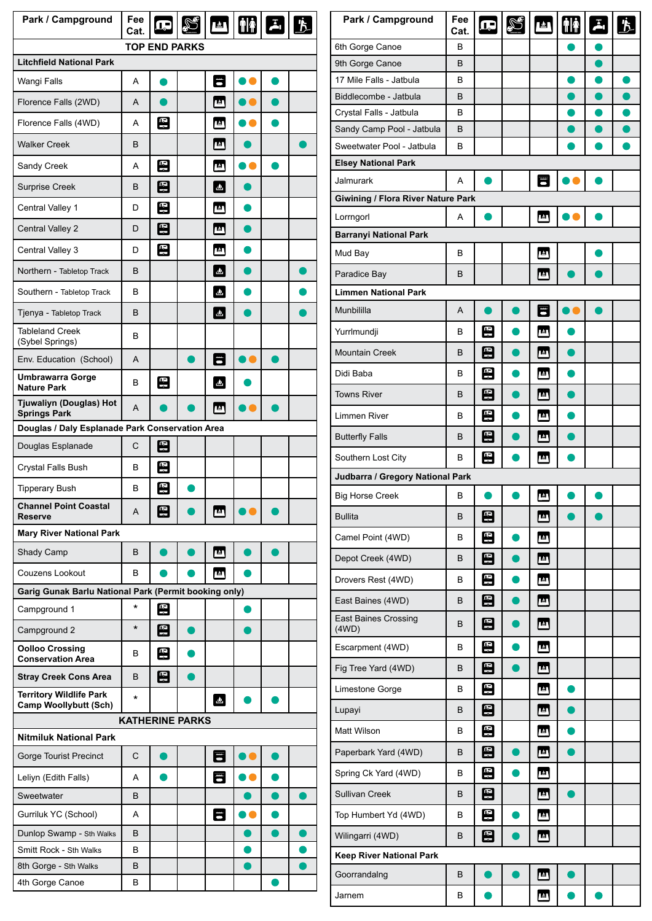| Park / Campground                                              | Fee<br>Cat. | è            |  |              | <b>PAL HA</b> |  |  |  |
|----------------------------------------------------------------|-------------|--------------|--|--------------|---------------|--|--|--|
| <b>TOP END PARKS</b>                                           |             |              |  |              |               |  |  |  |
| <b>Litchfield National Park</b>                                |             |              |  |              |               |  |  |  |
| Wangi Falls                                                    | A           |              |  | 匿            |               |  |  |  |
| Florence Falls (2WD)                                           | A           |              |  | 四            |               |  |  |  |
| Florence Falls (4WD)                                           | A           | 图            |  | 四            |               |  |  |  |
| <b>Walker Creek</b>                                            | B           |              |  | Γ≜Τ          |               |  |  |  |
| Sandy Creek                                                    | A           | 图            |  | 画            |               |  |  |  |
| <b>Surprise Creek</b>                                          | B           | $\mathbb{E}$ |  | ه.           |               |  |  |  |
| Central Valley 1                                               | D           | 뚸            |  | 凸            |               |  |  |  |
| Central Valley 2                                               | D           | 图            |  | 4            |               |  |  |  |
| Central Valley 3                                               | D           | 图            |  | 画            |               |  |  |  |
| Northern - Tabletop Track                                      | B           |              |  | $\Delta$     |               |  |  |  |
| Southern - Tabletop Track                                      | B           |              |  | $\mathbf{v}$ |               |  |  |  |
| Tjenya - Tabletop Track                                        | B           |              |  | $\mathbf{a}$ |               |  |  |  |
| <b>Tableland Creek</b><br>(Sybel Springs)                      | В           |              |  |              |               |  |  |  |
| Env. Education (School)                                        | A           |              |  | E            |               |  |  |  |
| <b>Umbrawarra Gorge</b><br><b>Nature Park</b>                  | B           | 뙤            |  | Δ.           |               |  |  |  |
| Tjuwaliyn (Douglas) Hot<br><b>Springs Park</b>                 | A           |              |  | LΔ           |               |  |  |  |
| Douglas / Daly Esplanade Park Conservation Area                |             |              |  |              |               |  |  |  |
| Douglas Esplanade                                              | C           | 图            |  |              |               |  |  |  |
| Crystal Falls Bush                                             | В           | 图            |  |              |               |  |  |  |
| <b>Tipperary Bush</b>                                          | B           | ٩            |  |              |               |  |  |  |
| <b>Channel Point Coastal</b><br><b>Reserve</b>                 | A           | 图            |  | Γ≜Γ          |               |  |  |  |
| <b>Mary River National Park</b>                                |             |              |  |              |               |  |  |  |
| Shady Camp                                                     | B           |              |  | 四            |               |  |  |  |
| Couzens Lookout                                                | В           |              |  | ΓΔΠ          |               |  |  |  |
| Garig Gunak Barlu National Park (Permit booking only)          |             |              |  |              |               |  |  |  |
| Campground 1                                                   | *           | 뚸            |  |              | o             |  |  |  |
| Campground 2                                                   | $^\star$    | 图            |  |              |               |  |  |  |
| <b>Oolloo Crossing</b><br><b>Conservation Area</b>             | B           | 鸟            |  |              |               |  |  |  |
| <b>Stray Creek Cons Area</b>                                   | B           | 圄            |  |              |               |  |  |  |
| <b>Territory Wildlife Park</b><br><b>Camp Woollybutt (Sch)</b> | $\star$     |              |  | $\mathbf{a}$ |               |  |  |  |
| <b>KATHERINE PARKS</b>                                         |             |              |  |              |               |  |  |  |
| <b>Nitmiluk National Park</b>                                  |             |              |  |              |               |  |  |  |
| Gorge Tourist Precinct                                         | C           |              |  | 冒            |               |  |  |  |
| Leliyn (Edith Falls)                                           | A           |              |  | 字            |               |  |  |  |
| Sweetwater                                                     | B           |              |  |              |               |  |  |  |
| Gurriluk YC (School)                                           | A           |              |  | 学            |               |  |  |  |
| Dunlop Swamp - Sth Walks                                       | B           |              |  |              |               |  |  |  |
| Smitt Rock - Sth Walks                                         | В           |              |  |              |               |  |  |  |
| 8th Gorge - Sth Walks                                          | B           |              |  |              |               |  |  |  |
| 4th Gorge Canoe                                                | B           |              |  |              |               |  |  |  |

| Park / Campground                    | Fee<br>Cat. | $\mathbf{E}$       | S | 凹     | $\left[\mathring{\mathbf{f}}\right]$ | $\overline{A}_1$ | <u>∱</u>  |  |
|--------------------------------------|-------------|--------------------|---|-------|--------------------------------------|------------------|-----------|--|
| 6th Gorge Canoe                      | В           |                    |   |       |                                      |                  |           |  |
| 9th Gorge Canoe                      | В           |                    |   |       |                                      |                  |           |  |
| 17 Mile Falls - Jatbula              | в           |                    |   |       | o                                    | ●                | $\bullet$ |  |
| Biddlecombe - Jatbula                | В           |                    |   |       |                                      |                  |           |  |
| Crystal Falls - Jatbula              | в           |                    |   |       |                                      |                  |           |  |
| Sandy Camp Pool - Jatbula            | В           |                    |   |       |                                      |                  |           |  |
| Sweetwater Pool - Jatbula            | в           |                    |   |       |                                      |                  |           |  |
| <b>Elsey National Park</b>           |             |                    |   |       |                                      |                  |           |  |
| <b>Jalmurark</b>                     | A           |                    |   | 雷     |                                      |                  |           |  |
| Giwining / Flora River Nature Park   |             |                    |   |       |                                      |                  |           |  |
| Lorrngorl                            | A           |                    |   | 画     |                                      |                  |           |  |
| <b>Barranyi National Park</b>        |             |                    |   |       |                                      |                  |           |  |
| Mud Bay                              | в           |                    |   | ு     |                                      |                  |           |  |
| Paradice Bay                         | в           |                    |   | гΔТ   |                                      |                  |           |  |
| <b>Limmen National Park</b>          |             |                    |   |       |                                      |                  |           |  |
| Munbililla                           | A           |                    |   | F     |                                      |                  |           |  |
| Yurrlmundji                          | в           | 모                  |   | ு     |                                      |                  |           |  |
| <b>Mountain Creek</b>                | в           | 8                  |   | ΓΔΤ   |                                      |                  |           |  |
| Didi Baba                            | в           | 图                  |   | Γ≙Γ   |                                      |                  |           |  |
| <b>Towns River</b>                   | В           | 모                  |   | டி    |                                      |                  |           |  |
| Limmen River                         | в           | 图                  |   | 四     |                                      |                  |           |  |
| <b>Butterfly Falls</b>               | в           | 图                  |   | டி    |                                      |                  |           |  |
| Southern Lost City                   | в           | 띰                  |   | ம     |                                      |                  |           |  |
| Judbarra / Gregory National Park     |             |                    |   |       |                                      |                  |           |  |
| <b>Big Horse Creek</b>               | в           |                    |   | 画     |                                      |                  |           |  |
| <b>Bullita</b>                       | B           | $\left[\Xi\right]$ |   | Γ≙Γ   |                                      |                  |           |  |
| Camel Point (4WD)                    | в           | 띰                  |   | 四     |                                      |                  |           |  |
| Depot Creek (4WD)                    | B           | 图                  |   | டி    |                                      |                  |           |  |
| Drovers Rest (4WD)                   | B           | 團                  |   | 画     |                                      |                  |           |  |
| East Baines (4WD)                    | в           | $\boxdot$          |   | டி    |                                      |                  |           |  |
| <b>East Baines Crossing</b><br>(4WD) | B           | 凰                  |   | டி    |                                      |                  |           |  |
| Escarpment (4WD)                     | в           | 띰                  |   | டி    |                                      |                  |           |  |
| Fig Tree Yard (4WD)                  | B           | 8                  | D | Γ≛Γ   |                                      |                  |           |  |
| Limestone Gorge                      | в           | 8                  |   | [ ≜ ] |                                      |                  |           |  |
| Lupayi                               | B           | 图                  |   | Γ≝Τ   |                                      |                  |           |  |
| Matt Wilson                          | В           | 图                  |   | ு     |                                      |                  |           |  |
| Paperbark Yard (4WD)                 | в           | $\boxdot$          |   | அ     |                                      |                  |           |  |
| Spring Ck Yard (4WD)                 | B           | 8                  |   | Γ≜Γ   |                                      |                  |           |  |
| <b>Sullivan Creek</b>                | B           | 图                  |   | டி    |                                      |                  |           |  |
| Top Humbert Yd (4WD)                 | в           | E                  |   | 四     |                                      |                  |           |  |
| Wilingarri (4WD)                     | В           | 띰                  |   | ு     |                                      |                  |           |  |
| Keep River National Park             |             |                    |   |       |                                      |                  |           |  |
| Goorrandalng                         | B           |                    |   | Γ≙Γ   |                                      |                  |           |  |
| Jarnem                               | В           |                    |   | ம     |                                      |                  |           |  |